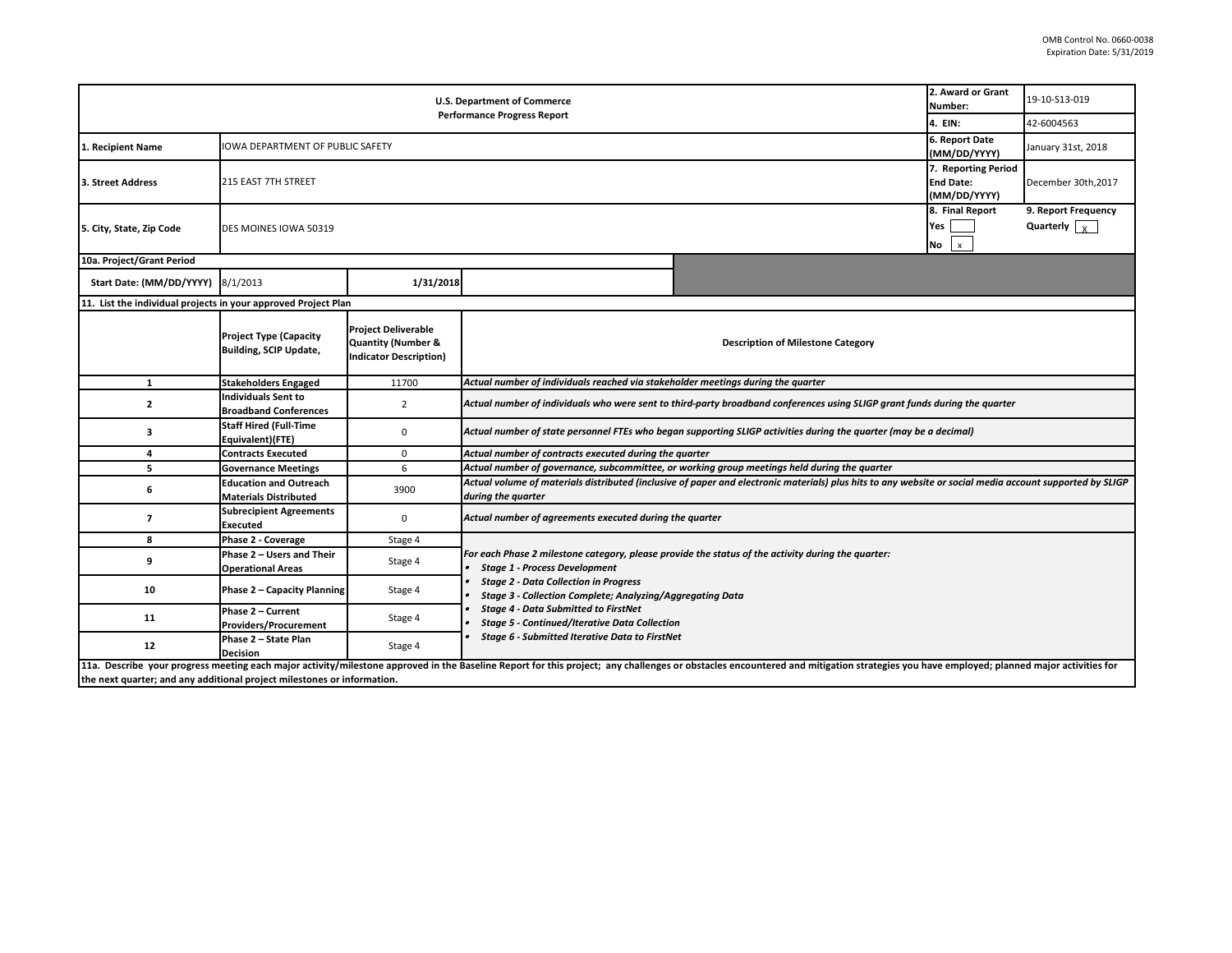|                                                                                                                                                                                                                                | 2. Award or Grant<br>Number:                                  | 19-10-S13-019                                                                                |                                                                                                                                                                                                                                                                                                                                                                       |  |            |  |  |  |  |
|--------------------------------------------------------------------------------------------------------------------------------------------------------------------------------------------------------------------------------|---------------------------------------------------------------|----------------------------------------------------------------------------------------------|-----------------------------------------------------------------------------------------------------------------------------------------------------------------------------------------------------------------------------------------------------------------------------------------------------------------------------------------------------------------------|--|------------|--|--|--|--|
| <b>Performance Progress Report</b>                                                                                                                                                                                             |                                                               |                                                                                              |                                                                                                                                                                                                                                                                                                                                                                       |  | 42-6004563 |  |  |  |  |
| 1. Recipient Name                                                                                                                                                                                                              | IOWA DEPARTMENT OF PUBLIC SAFETY                              | 6. Report Date<br>(MM/DD/YYYY)                                                               | January 31st, 2018                                                                                                                                                                                                                                                                                                                                                    |  |            |  |  |  |  |
| 3. Street Address                                                                                                                                                                                                              | 215 EAST 7TH STREET                                           | 7. Reporting Period<br><b>End Date:</b><br>(MM/DD/YYYY)                                      | December 30th, 2017                                                                                                                                                                                                                                                                                                                                                   |  |            |  |  |  |  |
| 5. City, State, Zip Code                                                                                                                                                                                                       | DES MOINES IOWA 50319                                         | 8. Final Report<br>Yes<br>$\mathbf{x}$<br>No                                                 | 9. Report Frequency<br>Quarterly $\vert \cdot \rangle$                                                                                                                                                                                                                                                                                                                |  |            |  |  |  |  |
| 10a. Project/Grant Period                                                                                                                                                                                                      |                                                               |                                                                                              |                                                                                                                                                                                                                                                                                                                                                                       |  |            |  |  |  |  |
| Start Date: (MM/DD/YYYY) 8/1/2013                                                                                                                                                                                              |                                                               | 1/31/2018                                                                                    |                                                                                                                                                                                                                                                                                                                                                                       |  |            |  |  |  |  |
| 11. List the individual projects in your approved Project Plan                                                                                                                                                                 |                                                               |                                                                                              |                                                                                                                                                                                                                                                                                                                                                                       |  |            |  |  |  |  |
|                                                                                                                                                                                                                                | <b>Project Type (Capacity</b><br>Building, SCIP Update,       | <b>Project Deliverable</b><br><b>Quantity (Number &amp;</b><br><b>Indicator Description)</b> | <b>Description of Milestone Category</b>                                                                                                                                                                                                                                                                                                                              |  |            |  |  |  |  |
| $\mathbf{1}$                                                                                                                                                                                                                   | <b>Stakeholders Engaged</b>                                   | 11700                                                                                        | Actual number of individuals reached via stakeholder meetings during the quarter                                                                                                                                                                                                                                                                                      |  |            |  |  |  |  |
| $\overline{2}$                                                                                                                                                                                                                 | Individuals Sent to<br><b>Broadband Conferences</b>           | $\overline{2}$                                                                               | Actual number of individuals who were sent to third-party broadband conferences using SLIGP grant funds during the quarter                                                                                                                                                                                                                                            |  |            |  |  |  |  |
| з                                                                                                                                                                                                                              | <b>Staff Hired (Full-Time</b><br>Equivalent)(FTE)             | 0                                                                                            | Actual number of state personnel FTEs who began supporting SLIGP activities during the quarter (may be a decimal)                                                                                                                                                                                                                                                     |  |            |  |  |  |  |
| 4                                                                                                                                                                                                                              | <b>Contracts Executed</b>                                     | $\mathbf 0$                                                                                  | Actual number of contracts executed during the quarter                                                                                                                                                                                                                                                                                                                |  |            |  |  |  |  |
| 5                                                                                                                                                                                                                              | <b>Governance Meetings</b>                                    | 6                                                                                            | Actual number of governance, subcommittee, or working group meetings held during the quarter                                                                                                                                                                                                                                                                          |  |            |  |  |  |  |
| 6                                                                                                                                                                                                                              | <b>Education and Outreach</b><br><b>Materials Distributed</b> | 3900                                                                                         | Actual volume of materials distributed (inclusive of paper and electronic materials) plus hits to any website or social media account supported by SLIGP<br>during the quarter                                                                                                                                                                                        |  |            |  |  |  |  |
| $\overline{\phantom{a}}$                                                                                                                                                                                                       | <b>Subrecipient Agreements</b><br><b>Executed</b>             | $\mathbf 0$                                                                                  | Actual number of agreements executed during the quarter                                                                                                                                                                                                                                                                                                               |  |            |  |  |  |  |
| 8                                                                                                                                                                                                                              | Phase 2 - Coverage                                            | Stage 4                                                                                      |                                                                                                                                                                                                                                                                                                                                                                       |  |            |  |  |  |  |
| 9                                                                                                                                                                                                                              | Phase 2 - Users and Their<br><b>Operational Areas</b>         | Stage 4                                                                                      | For each Phase 2 milestone category, please provide the status of the activity during the quarter:<br><b>Stage 1 - Process Development</b><br><b>Stage 2 - Data Collection in Progress</b><br><b>Stage 3 - Collection Complete; Analyzing/Aggregating Data</b><br><b>Stage 4 - Data Submitted to FirstNet</b><br><b>Stage 5 - Continued/Iterative Data Collection</b> |  |            |  |  |  |  |
| 10                                                                                                                                                                                                                             | Phase 2 - Capacity Planning                                   | Stage 4                                                                                      |                                                                                                                                                                                                                                                                                                                                                                       |  |            |  |  |  |  |
| 11                                                                                                                                                                                                                             | Phase 2 - Current<br><b>Providers/Procurement</b>             | Stage 4                                                                                      |                                                                                                                                                                                                                                                                                                                                                                       |  |            |  |  |  |  |
| 12                                                                                                                                                                                                                             | Phase 2 - State Plan<br><b>Decision</b>                       | Stage 4                                                                                      | <b>Stage 6 - Submitted Iterative Data to FirstNet</b>                                                                                                                                                                                                                                                                                                                 |  |            |  |  |  |  |
| 11a. Describe your progress meeting each major activity/milestone approved in the Baseline Report for this project; any challenges or obstacles encountered and mitigation strategies you have employed; planned major activit |                                                               |                                                                                              |                                                                                                                                                                                                                                                                                                                                                                       |  |            |  |  |  |  |

**the next quarter; and any additional project milestones or information.**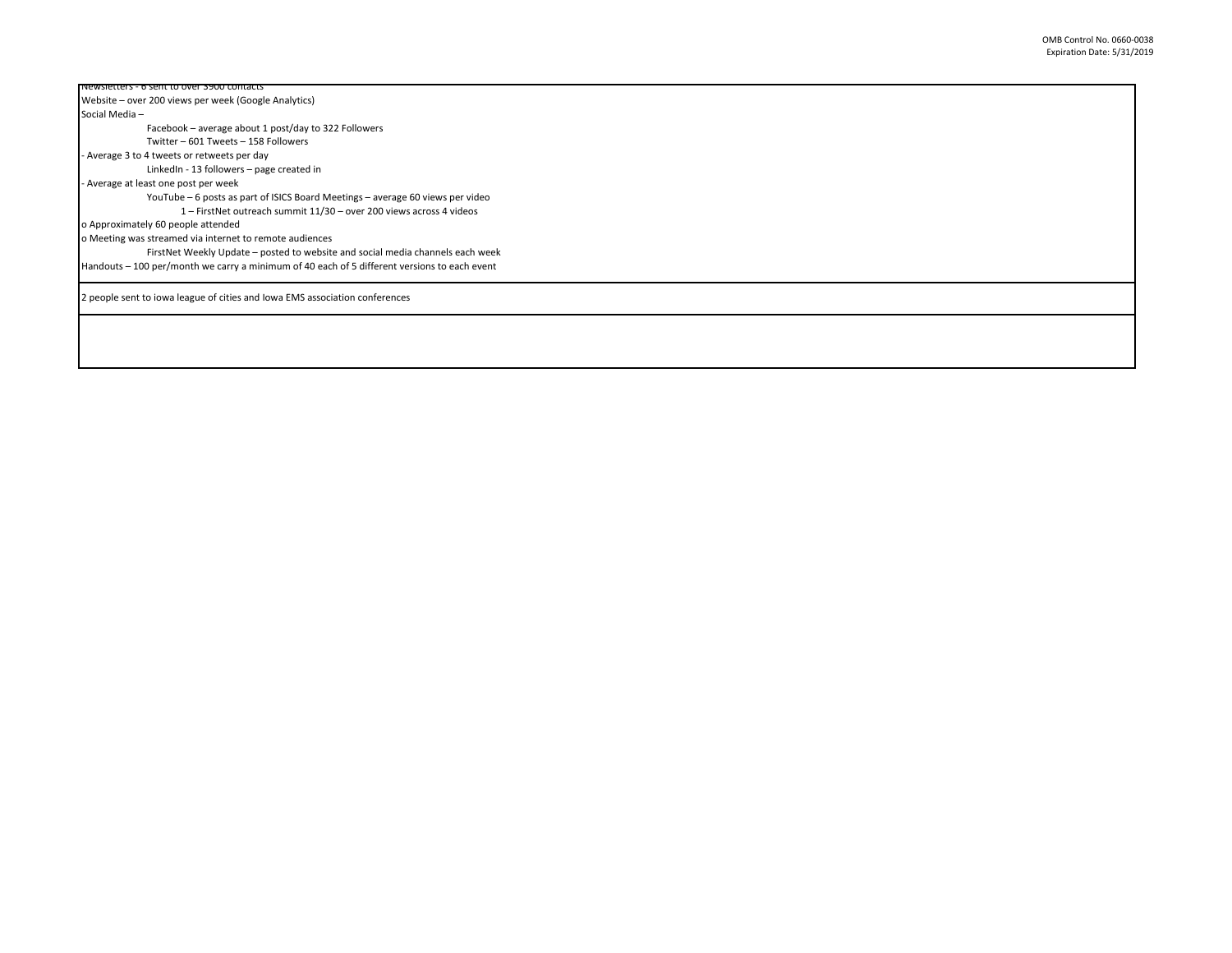| <b>INEWSIELLEIS - 6 SEIN 10 OVER 3500 CONTACTS</b>                                           |
|----------------------------------------------------------------------------------------------|
| Website – over 200 views per week (Google Analytics)                                         |
| Social Media-                                                                                |
| Facebook – average about 1 post/day to 322 Followers                                         |
| Twitter - 601 Tweets - 158 Followers                                                         |
| - Average 3 to 4 tweets or retweets per day                                                  |
| LinkedIn - 13 followers - page created in                                                    |
| - Average at least one post per week                                                         |
| YouTube – 6 posts as part of ISICS Board Meetings – average 60 views per video               |
| 1 - FirstNet outreach summit 11/30 - over 200 views across 4 videos                          |
| o Approximately 60 people attended                                                           |
| o Meeting was streamed via internet to remote audiences                                      |
| FirstNet Weekly Update - posted to website and social media channels each week               |
| Handouts - 100 per/month we carry a minimum of 40 each of 5 different versions to each event |
| 2 people sent to iowa league of cities and Iowa EMS association conferences                  |
|                                                                                              |
|                                                                                              |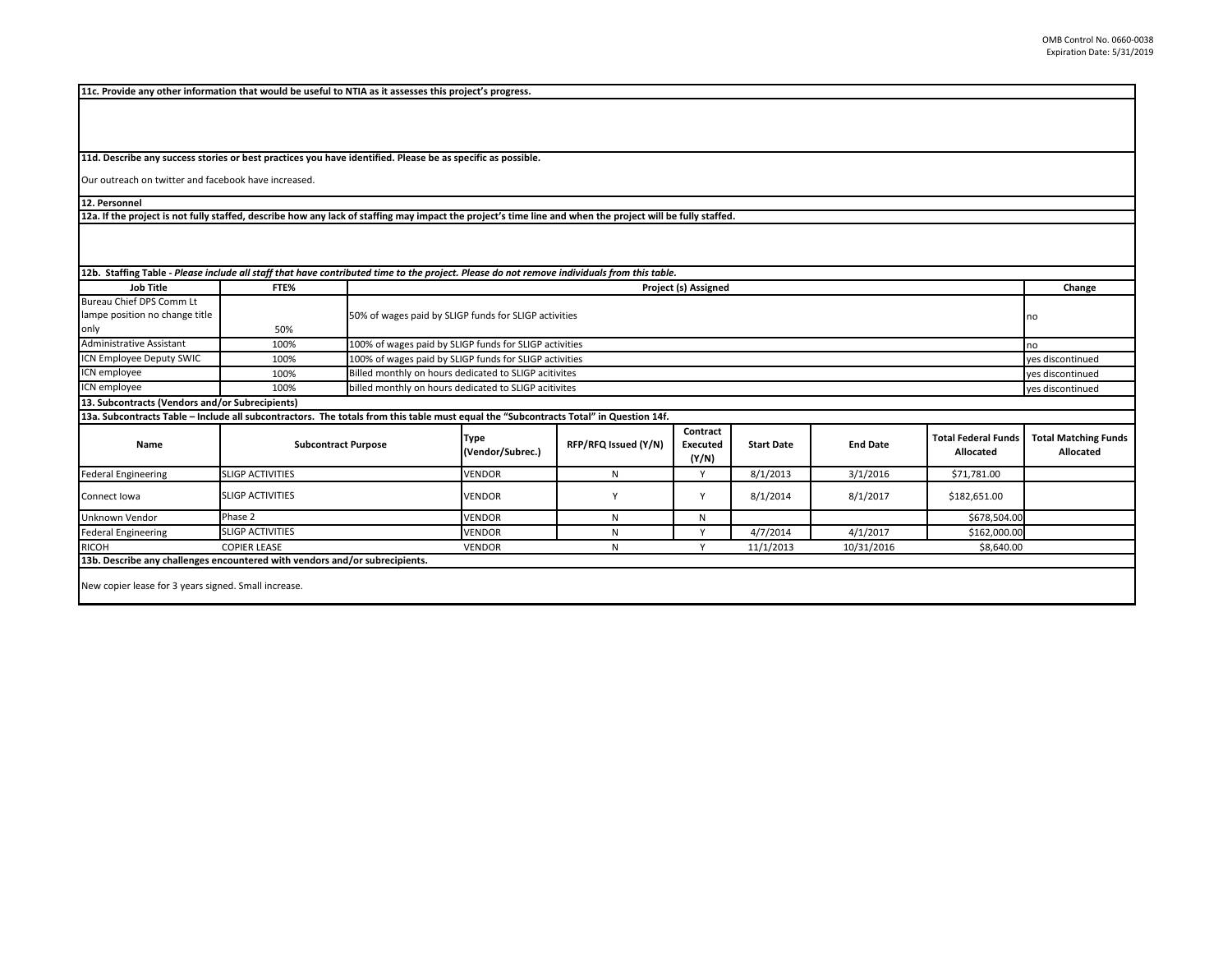**11c. Provide any other information that would be useful to NTIA as it assesses this project's progress.** 

**11d. Describe any success stories or best practices you have identified. Please be as specific as possible.**

Our outreach on twitter and facebook have increased.

**12. Personnel** 

**12a. If the project is not fully staffed, describe how any lack of staffing may impact the project's time line and when the project will be fully staffed.**

| 12b. Staffing Table - Please include all staff that have contributed time to the project. Please do not remove individuals from this table. |                         |                            |                                                        |                      |                                      |                   |                 |                                         |                                          |
|---------------------------------------------------------------------------------------------------------------------------------------------|-------------------------|----------------------------|--------------------------------------------------------|----------------------|--------------------------------------|-------------------|-----------------|-----------------------------------------|------------------------------------------|
| Job Title                                                                                                                                   | FTE%                    |                            | Project (s) Assigned                                   |                      |                                      |                   |                 |                                         | Change                                   |
| Bureau Chief DPS Comm Lt                                                                                                                    |                         |                            |                                                        |                      |                                      |                   |                 |                                         |                                          |
| lampe position no change title                                                                                                              |                         |                            | 50% of wages paid by SLIGP funds for SLIGP activities  |                      |                                      |                   |                 |                                         |                                          |
| only                                                                                                                                        | 50%                     |                            |                                                        |                      |                                      |                   |                 |                                         |                                          |
| <b>Administrative Assistant</b>                                                                                                             | 100%                    |                            | 100% of wages paid by SLIGP funds for SLIGP activities |                      |                                      |                   |                 |                                         |                                          |
| ICN Employee Deputy SWIC                                                                                                                    | 100%                    |                            | 100% of wages paid by SLIGP funds for SLIGP activities |                      |                                      |                   |                 |                                         |                                          |
| ICN employee                                                                                                                                | 100%                    |                            | Billed monthly on hours dedicated to SLIGP acitivites  |                      |                                      |                   |                 |                                         | yes discontinued                         |
| ICN employee                                                                                                                                | 100%                    |                            | billed monthly on hours dedicated to SLIGP acitivites  |                      |                                      |                   |                 |                                         | yes discontinued                         |
| 13. Subcontracts (Vendors and/or Subrecipients)                                                                                             |                         |                            |                                                        |                      |                                      |                   |                 |                                         |                                          |
| 13a. Subcontracts Table - Include all subcontractors. The totals from this table must equal the "Subcontracts Total" in Question 14f.       |                         |                            |                                                        |                      |                                      |                   |                 |                                         |                                          |
| Name                                                                                                                                        |                         | <b>Subcontract Purpose</b> | Type<br>(Vendor/Subrec.)                               | RFP/RFQ Issued (Y/N) | Contract<br><b>Executed</b><br>(Y/N) | <b>Start Date</b> | <b>End Date</b> | <b>Total Federal Funds</b><br>Allocated | <b>Total Matching Funds</b><br>Allocated |
| <b>Federal Engineering</b>                                                                                                                  | <b>SLIGP ACTIVITIES</b> |                            | <b>VENDOR</b>                                          | N                    | ٧                                    | 8/1/2013          | 3/1/2016        | \$71,781.00                             |                                          |
| Connect Iowa                                                                                                                                | <b>SLIGP ACTIVITIES</b> |                            | <b>VENDOR</b>                                          |                      | Y                                    | 8/1/2014          | 8/1/2017        | \$182,651.00                            |                                          |
| Unknown Vendor                                                                                                                              | Phase 2                 |                            | <b>VENDOR</b>                                          | N                    | Ν                                    |                   |                 | \$678,504.00                            |                                          |
| <b>Federal Engineering</b>                                                                                                                  | <b>SLIGP ACTIVITIES</b> |                            | <b>VENDOR</b>                                          | N                    | $\checkmark$                         | 4/7/2014          | 4/1/2017        | \$162,000.00                            |                                          |
| <b>RICOH</b>                                                                                                                                | <b>COPIER LEASE</b>     |                            | <b>VENDOR</b>                                          | N                    |                                      | 11/1/2013         | 10/31/2016      | \$8,640.00                              |                                          |
| 13b. Describe any challenges encountered with vendors and/or subrecipients.                                                                 |                         |                            |                                                        |                      |                                      |                   |                 |                                         |                                          |
| New copier lease for 3 years signed. Small increase.                                                                                        |                         |                            |                                                        |                      |                                      |                   |                 |                                         |                                          |